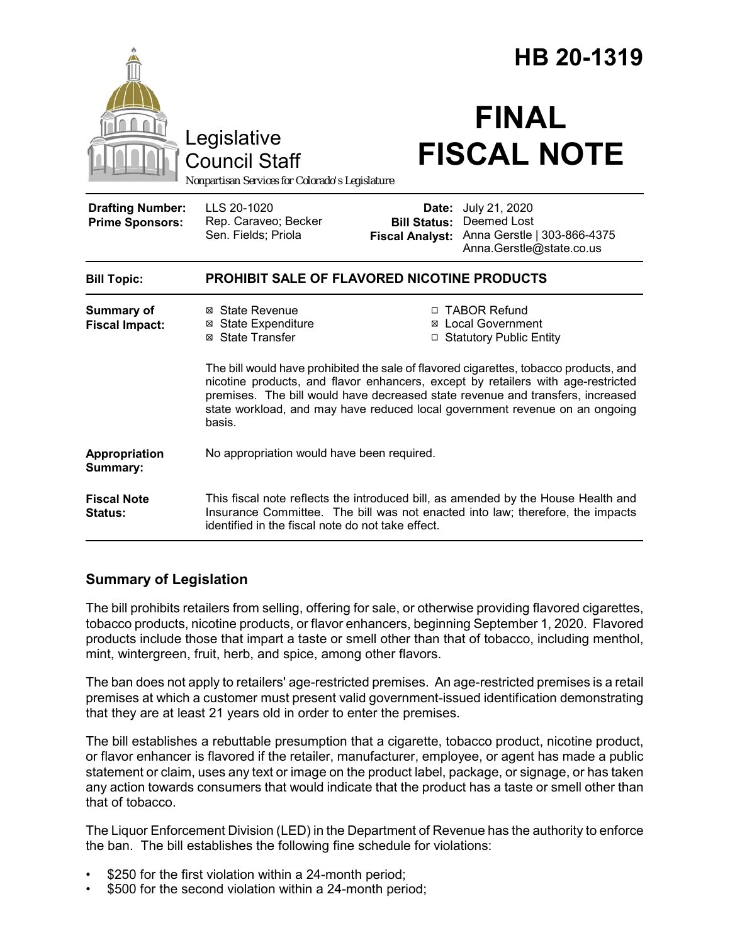|                                                                                        |                                                                                                                                                                                                                          | HB 20-1319                                                                                                                                                                                                                                     |                                                                                                      |
|----------------------------------------------------------------------------------------|--------------------------------------------------------------------------------------------------------------------------------------------------------------------------------------------------------------------------|------------------------------------------------------------------------------------------------------------------------------------------------------------------------------------------------------------------------------------------------|------------------------------------------------------------------------------------------------------|
| Legislative<br><b>Council Staff</b><br>Nonpartisan Services for Colorado's Legislature |                                                                                                                                                                                                                          | <b>FINAL</b><br><b>FISCAL NOTE</b>                                                                                                                                                                                                             |                                                                                                      |
| <b>Drafting Number:</b><br><b>Prime Sponsors:</b>                                      | LLS 20-1020<br>Rep. Caraveo; Becker<br>Sen. Fields; Priola                                                                                                                                                               | <b>Bill Status:</b><br><b>Fiscal Analyst:</b>                                                                                                                                                                                                  | <b>Date:</b> July 21, 2020<br>Deemed Lost<br>Anna Gerstle   303-866-4375<br>Anna.Gerstle@state.co.us |
| <b>Bill Topic:</b>                                                                     | PROHIBIT SALE OF FLAVORED NICOTINE PRODUCTS                                                                                                                                                                              |                                                                                                                                                                                                                                                |                                                                                                      |
| <b>Summary of</b><br><b>Fiscal Impact:</b>                                             | ⊠ State Revenue<br><b>⊠</b> State Expenditure<br>⊠ State Transfer                                                                                                                                                        | □ TABOR Refund<br>⊠ Local Government<br>□ Statutory Public Entity<br>The bill would have prohibited the sale of flavored cigarettes, tobacco products, and<br>nicotine products, and flavor enhancers, except by retailers with age-restricted |                                                                                                      |
|                                                                                        | premises. The bill would have decreased state revenue and transfers, increased<br>state workload, and may have reduced local government revenue on an ongoing<br>basis.                                                  |                                                                                                                                                                                                                                                |                                                                                                      |
| Appropriation<br>Summary:                                                              | No appropriation would have been required.                                                                                                                                                                               |                                                                                                                                                                                                                                                |                                                                                                      |
| <b>Fiscal Note</b><br>Status:                                                          | This fiscal note reflects the introduced bill, as amended by the House Health and<br>Insurance Committee. The bill was not enacted into law; therefore, the impacts<br>identified in the fiscal note do not take effect. |                                                                                                                                                                                                                                                |                                                                                                      |

# **Summary of Legislation**

The bill prohibits retailers from selling, offering for sale, or otherwise providing flavored cigarettes, tobacco products, nicotine products, or flavor enhancers, beginning September 1, 2020. Flavored products include those that impart a taste or smell other than that of tobacco, including menthol, mint, wintergreen, fruit, herb, and spice, among other flavors.

The ban does not apply to retailers' age-restricted premises. An age-restricted premises is a retail premises at which a customer must present valid government-issued identification demonstrating that they are at least 21 years old in order to enter the premises.

The bill establishes a rebuttable presumption that a cigarette, tobacco product, nicotine product, or flavor enhancer is flavored if the retailer, manufacturer, employee, or agent has made a public statement or claim, uses any text or image on the product label, package, or signage, or has taken any action towards consumers that would indicate that the product has a taste or smell other than that of tobacco.

The Liquor Enforcement Division (LED) in the Department of Revenue has the authority to enforce the ban. The bill establishes the following fine schedule for violations:

- \$250 for the first violation within a 24-month period;
- \$500 for the second violation within a 24-month period;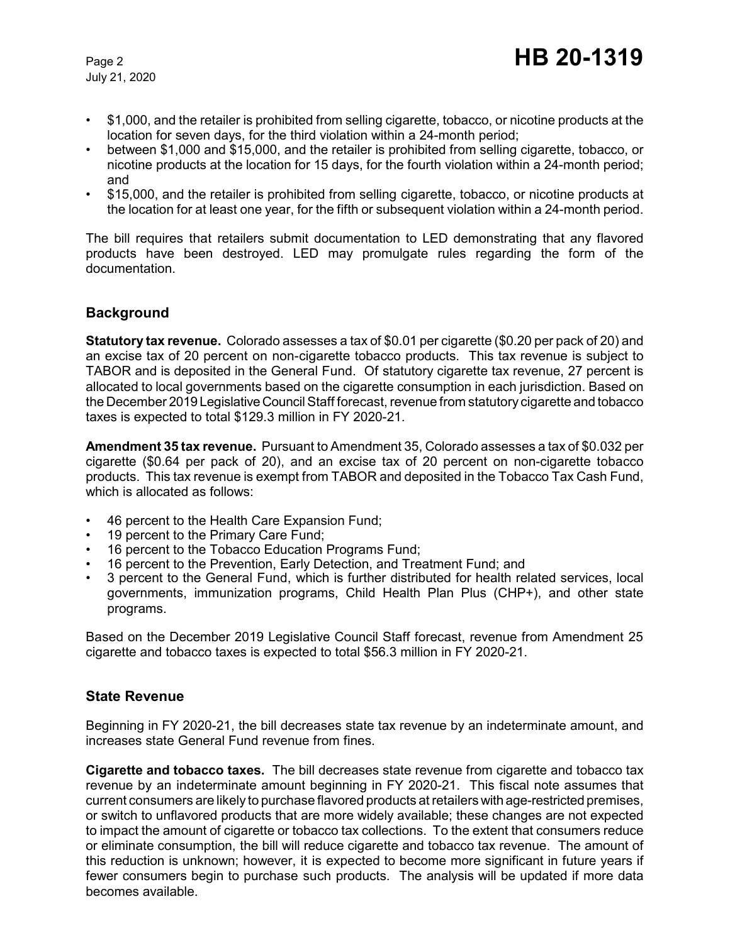July 21, 2020

- \$1,000, and the retailer is prohibited from selling cigarette, tobacco, or nicotine products at the location for seven days, for the third violation within a 24-month period;
- between \$1,000 and \$15,000, and the retailer is prohibited from selling cigarette, tobacco, or nicotine products at the location for 15 days, for the fourth violation within a 24-month period; and
- \$15,000, and the retailer is prohibited from selling cigarette, tobacco, or nicotine products at the location for at least one year, for the fifth or subsequent violation within a 24-month period.

The bill requires that retailers submit documentation to LED demonstrating that any flavored products have been destroyed. LED may promulgate rules regarding the form of the documentation.

# **Background**

**Statutory tax revenue.** Colorado assesses a tax of \$0.01 per cigarette (\$0.20 per pack of 20) and an excise tax of 20 percent on non-cigarette tobacco products. This tax revenue is subject to TABOR and is deposited in the General Fund. Of statutory cigarette tax revenue, 27 percent is allocated to local governments based on the cigarette consumption in each jurisdiction. Based on the December 2019 Legislative Council Staff forecast, revenue from statutory cigarette and tobacco taxes is expected to total \$129.3 million in FY 2020-21.

**Amendment 35 tax revenue.** Pursuant to Amendment 35, Colorado assesses a tax of \$0.032 per cigarette (\$0.64 per pack of 20), and an excise tax of 20 percent on non-cigarette tobacco products. This tax revenue is exempt from TABOR and deposited in the Tobacco Tax Cash Fund, which is allocated as follows:

- 46 percent to the Health Care Expansion Fund;
- 19 percent to the Primary Care Fund;
- 16 percent to the Tobacco Education Programs Fund;
- 16 percent to the Prevention, Early Detection, and Treatment Fund; and
- 3 percent to the General Fund, which is further distributed for health related services, local governments, immunization programs, Child Health Plan Plus (CHP+), and other state programs.

Based on the December 2019 Legislative Council Staff forecast, revenue from Amendment 25 cigarette and tobacco taxes is expected to total \$56.3 million in FY 2020-21.

### **State Revenue**

Beginning in FY 2020-21, the bill decreases state tax revenue by an indeterminate amount, and increases state General Fund revenue from fines.

**Cigarette and tobacco taxes.** The bill decreases state revenue from cigarette and tobacco tax revenue by an indeterminate amount beginning in FY 2020-21. This fiscal note assumes that current consumers are likely to purchase flavored products at retailers with age-restricted premises, or switch to unflavored products that are more widely available; these changes are not expected to impact the amount of cigarette or tobacco tax collections. To the extent that consumers reduce or eliminate consumption, the bill will reduce cigarette and tobacco tax revenue. The amount of this reduction is unknown; however, it is expected to become more significant in future years if fewer consumers begin to purchase such products. The analysis will be updated if more data becomes available.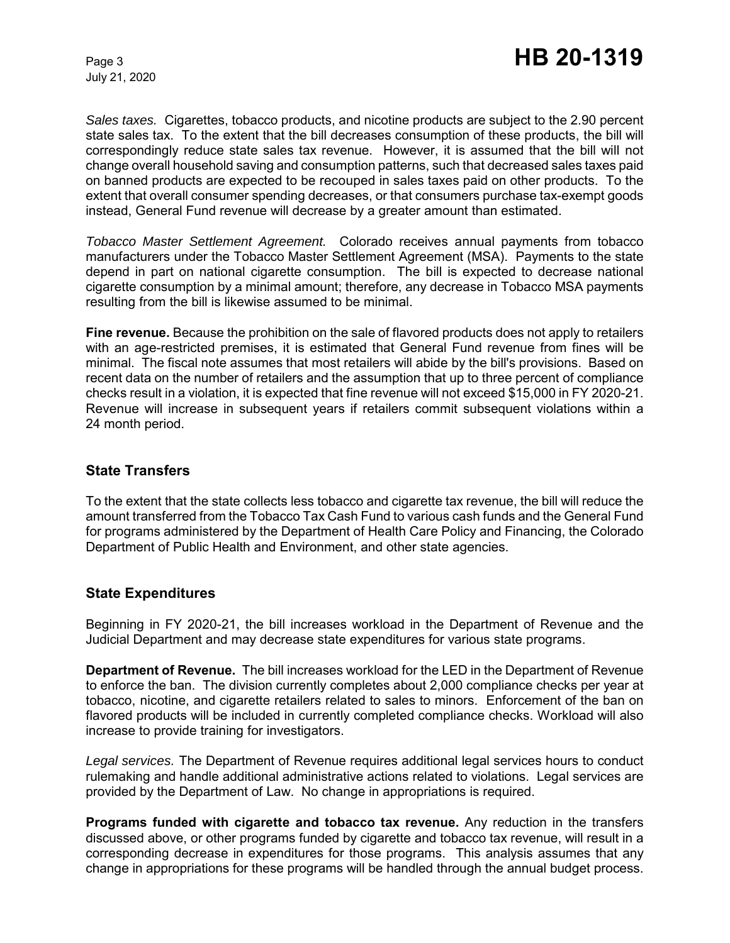July 21, 2020

*Sales taxes.* Cigarettes, tobacco products, and nicotine products are subject to the 2.90 percent state sales tax. To the extent that the bill decreases consumption of these products, the bill will correspondingly reduce state sales tax revenue. However, it is assumed that the bill will not change overall household saving and consumption patterns, such that decreased sales taxes paid on banned products are expected to be recouped in sales taxes paid on other products. To the extent that overall consumer spending decreases, or that consumers purchase tax-exempt goods instead, General Fund revenue will decrease by a greater amount than estimated.

*Tobacco Master Settlement Agreement.* Colorado receives annual payments from tobacco manufacturers under the Tobacco Master Settlement Agreement (MSA). Payments to the state depend in part on national cigarette consumption. The bill is expected to decrease national cigarette consumption by a minimal amount; therefore, any decrease in Tobacco MSA payments resulting from the bill is likewise assumed to be minimal.

**Fine revenue.** Because the prohibition on the sale of flavored products does not apply to retailers with an age-restricted premises, it is estimated that General Fund revenue from fines will be minimal. The fiscal note assumes that most retailers will abide by the bill's provisions. Based on recent data on the number of retailers and the assumption that up to three percent of compliance checks result in a violation, it is expected that fine revenue will not exceed \$15,000 in FY 2020-21. Revenue will increase in subsequent years if retailers commit subsequent violations within a 24 month period.

### **State Transfers**

To the extent that the state collects less tobacco and cigarette tax revenue, the bill will reduce the amount transferred from the Tobacco Tax Cash Fund to various cash funds and the General Fund for programs administered by the Department of Health Care Policy and Financing, the Colorado Department of Public Health and Environment, and other state agencies.

### **State Expenditures**

Beginning in FY 2020-21, the bill increases workload in the Department of Revenue and the Judicial Department and may decrease state expenditures for various state programs.

**Department of Revenue.** The bill increases workload for the LED in the Department of Revenue to enforce the ban. The division currently completes about 2,000 compliance checks per year at tobacco, nicotine, and cigarette retailers related to sales to minors. Enforcement of the ban on flavored products will be included in currently completed compliance checks. Workload will also increase to provide training for investigators.

*Legal services.* The Department of Revenue requires additional legal services hours to conduct rulemaking and handle additional administrative actions related to violations. Legal services are provided by the Department of Law. No change in appropriations is required.

**Programs funded with cigarette and tobacco tax revenue.** Any reduction in the transfers discussed above, or other programs funded by cigarette and tobacco tax revenue, will result in a corresponding decrease in expenditures for those programs. This analysis assumes that any change in appropriations for these programs will be handled through the annual budget process.